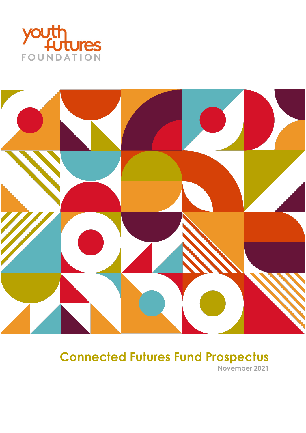



# **Connected Futures Fund Prospectus**

**November 2021**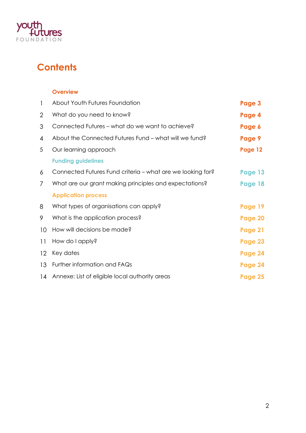

# **Contents**

#### **Overview**

| $\mathbf{1}$    | About Youth Futures Foundation                             | Page 3  |
|-----------------|------------------------------------------------------------|---------|
| $\overline{2}$  | What do you need to know?                                  | Page 4  |
| 3               | Connected Futures – what do we want to achieve?            | Page 6  |
| 4               | About the Connected Futures Fund – what will we fund?      | Page 9  |
| 5               | Our learning approach                                      | Page 12 |
|                 | <b>Funding guidelines</b>                                  |         |
| 6               | Connected Futures Fund criteria - what are we looking for? | Page 13 |
| 7               | What are our grant making principles and expectations?     | Page 18 |
|                 | <b>Application process</b>                                 |         |
| 8               | What types of organisations can apply?                     | Page 19 |
| 9               | What is the application process?                           | Page 20 |
| 10 <sup>°</sup> | How will decisions be made?                                | Page 21 |
| 11              | How do I apply?                                            | Page 23 |
| 12 <sup>2</sup> | Key dates                                                  | Page 24 |
| 13              | Further information and FAQs                               | Page 24 |
| 14              | Annexe: List of eligible local authority areas             | Page 25 |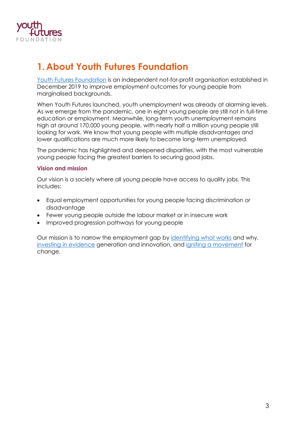

### **1. About Youth Futures Foundation**

[Youth Futures Foundation](https://youthfuturesfoundation.org/) is an independent not-for-profit organisation established in December 2019 to improve employment outcomes for young people from marginalised backgrounds.

When Youth Futures launched, youth unemployment was already at alarming levels. As we emerge from the pandemic, one in eight young people are still not in full-time education or employment. Meanwhile, long-term youth unemployment remains high at around 170,000 young people, with nearly half a million young people still looking for work. We know that young people with multiple disadvantages and lower qualifications are much more likely to become long-term unemployed.

The pandemic has highlighted and deepened disparities, with the most vulnerable young people facing the greatest barriers to securing good jobs.

#### **Vision and mission**

Our vision is a society where all young people have access to quality jobs. This includes:

- Equal employment opportunities for young people facing discrimination or disadvantage
- Fewer young people outside the labour market or in insecure work
- Improved progression pathways for young people

Our mission is to narrow the employment gap by [identifying what works](https://youthfuturesfoundation.org/our-work/identify/) and why, [investing in evidence](https://youthfuturesfoundation.org/our-work/invest/) generation and innovation, and [igniting a movement](https://youthfuturesfoundation.org/our-work/ignite/) for change.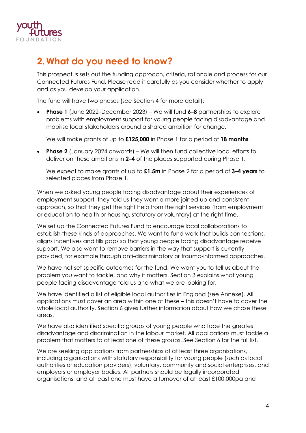

### **2. What do you need to know?**

This prospectus sets out the funding approach, criteria, rationale and process for our Connected Futures Fund. Please read it carefully as you consider whether to apply and as you develop your application.

The fund will have two phases (see Section 4 for more detail):

• **Phase 1** (June 2022–December 2023) – We will fund **6–8** partnerships to explore problems with employment support for young people facing disadvantage and mobilise local stakeholders around a shared ambition for change.

We will make grants of up to **£125,000** in Phase 1 for a period of **18 months**.

• **Phase 2** (January 2024 onwards) – We will then fund collective local efforts to deliver on these ambitions in **2–4** of the places supported during Phase 1.

We expect to make grants of up to **£1.5m** in Phase 2 for a period of **3–4 years** to selected places from Phase 1.

When we asked young people facing disadvantage about their experiences of employment support, they told us they want a more joined-up and consistent approach, so that they get the right help from the right services (from employment or education to health or housing, statutory or voluntary) at the right time.

We set up the Connected Futures Fund to encourage local collaborations to establish these kinds of approaches. We want to fund work that builds connections, aligns incentives and fills gaps so that young people facing disadvantage receive support. We also want to remove barriers in the way that support is currently provided, for example through anti-discriminatory or trauma-informed approaches.

We have not set specific outcomes for the fund. We want you to tell us about the problem you want to tackle, and why it matters. Section 3 explains what young people facing disadvantage told us and what we are looking for.

We have identified a list of eligible local authorities in England (see Annexe). All applications must cover an area within one of these – this doesn't have to cover the whole local authority. Section 6 gives further information about how we chose these areas.

We have also identified specific groups of young people who face the greatest disadvantage and discrimination in the labour market. All applications must tackle a problem that matters to at least one of these groups. See Section 6 for the full list.

We are seeking applications from partnerships of at least three organisations, including organisations with statutory responsibility for young people (such as local authorities or education providers), voluntary, community and social enterprises, and employers or employer bodies. All partners should be legally incorporated organisations, and at least one must have a turnover of at least £100,000pa and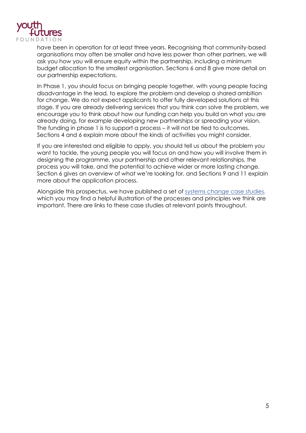

have been in operation for at least three years. Recognising that community-based organisations may often be smaller and have less power than other partners, we will ask you how you will ensure equity within the partnership, including a minimum budget allocation to the smallest organisation. Sections 6 and 8 give more detail on our partnership expectations.

In Phase 1, you should focus on bringing people together, with young people facing disadvantage in the lead, to explore the problem and develop a shared ambition for change. We do not expect applicants to offer fully developed solutions at this stage. If you are already delivering services that you think can solve the problem, we encourage you to think about how our funding can help you build on what you are already doing, for example developing new partnerships or spreading your vision. The funding in phase 1 is to support a process – it will not be tied to outcomes. Sections 4 and 6 explain more about the kinds of activities you might consider.

If you are interested and eligible to apply, you should tell us about the problem you want to tackle, the young people you will focus on and how you will involve them in designing the programme, your partnership and other relevant relationships, the process you will take, and the potential to achieve wider or more lasting change. Section 6 gives an overview of what we're looking for, and Sections 9 and 11 explain more about the application process.

Alongside this prospectus, we have published a set of [systems change case studies,](https://youthfuturesfoundation.org/wp-content/uploads/2021/11/Connected-Futures-Fund-systems-change-case-studies.pdf) which you may find a helpful illustration of the processes and principles we think are important. There are links to these case studies at relevant points throughout.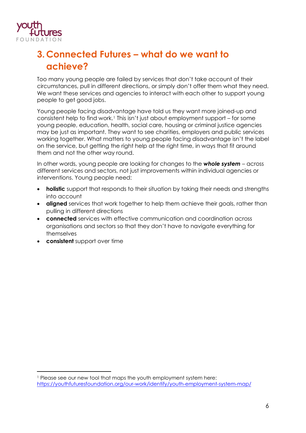

# **3.Connected Futures – what do we want to achieve?**

Too many young people are failed by services that don't take account of their circumstances, pull in different directions, or simply don't offer them what they need. We want these services and agencies to interact with each other to support young people to get good jobs.

Young people facing disadvantage have told us they want more joined-up and consistent help to find work.[1](#page-5-0) This isn't just about employment support – for some young people, education, health, social care, housing or criminal justice agencies may be just as important. They want to see charities, employers and public services working together. What matters to young people facing disadvantage isn't the label on the service, but getting the right help at the right time, in ways that fit around them and not the other way round.

In other words, young people are looking for changes to the *whole system* – across different services and sectors, not just improvements within individual agencies or interventions. Young people need:

- **holistic** support that responds to their situation by taking their needs and strengths into account
- **aligned** services that work together to help them achieve their goals, rather than pulling in different directions
- **connected** services with effective communication and coordination across organisations and sectors so that they don't have to navigate everything for themselves
- **consistent** support over time

<span id="page-5-0"></span><sup>1</sup> Please see our new tool that maps the youth employment system here: <https://youthfuturesfoundation.org/our-work/identify/youth-employment-system-map/>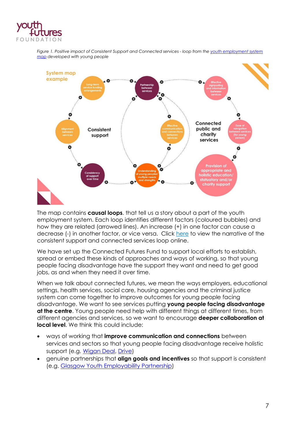

*Figure 1. Positive impact of Consistent Support and Connected services - loop from th[e youth employment system](https://youthfuturesfoundation.org/our-work/identify/youth-employment-system-map/)  [map](https://youthfuturesfoundation.org/our-work/identify/youth-employment-system-map/) developed with young people* 



The map contains **causal loops**. that tell us a story about a part of the youth employment system. Each loop identifies different factors (coloured bubbles) and how they are related (arrowed lines). An increase (+) in one factor can cause a decrease (-) in another factor, or vice versa. Click [here](http://here/) to view the narrative of the consistent support and connected services loop online.

We have set up the Connected Futures Fund to support local efforts to establish, spread or embed these kinds of approaches and ways of working, so that young people facing disadvantage have the support they want and need to get good jobs, as and when they need it over time.

When we talk about connected futures, we mean the ways employers, educational settings, health services, social care, housing agencies and the criminal justice system can come together to improve outcomes for young people facing disadvantage. We want to see services putting **young people facing disadvantage at the centre**. Young people need help with different things at different times, from different agencies and services, so we want to encourage **deeper collaboration at local level**. We think this could include:

- ways of working that **improve communication and connections** between services and sectors so that young people facing disadvantage receive holistic support (e.g. [Wigan Deal,](https://youthfuturesfoundation.org/grant-case-studies/system-change-case-study/) [Drive\)](https://youthfuturesfoundation.org/grant-case-studies/system-change-case-study-drive/)
- genuine partnerships that **align goals and incentives** so that support is consistent (e.g. [Glasgow Youth Employability Partnership\)](https://youthfuturesfoundation.org/grant-case-studies/system-change-case-study-glasgow-youth-employability-partnership/)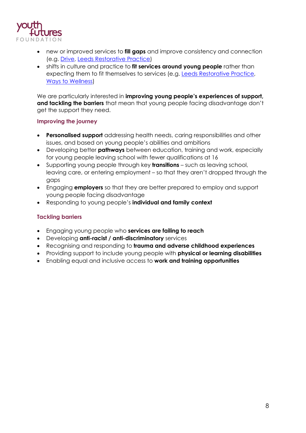

- new or improved services to **fill gaps** and improve consistency and connection (e.g. [Drive,](https://youthfuturesfoundation.org/grant-case-studies/system-change-case-study-drive/) [Leeds Restorative Practice\)](https://youthfuturesfoundation.org/grant-case-studies/system-change-case-study-restorative-practice-leeds/)
- shifts in culture and practice to **fit services around young people** rather than expecting them to fit themselves to services (e.g. [Leeds Restorative Practice,](https://youthfuturesfoundation.org/grant-case-studies/system-change-case-study-restorative-practice-leeds/) [Ways to Wellness\)](https://youthfuturesfoundation.org/grant-case-studies/system-change-case-study-ways-to-wellness/)

We are particularly interested in **improving young people's experiences of support, and tackling the barriers** that mean that young people facing disadvantage don't get the support they need.

#### **Improving the journey**

- **Personalised support** addressing health needs, caring responsibilities and other issues, and based on young people's abilities and ambitions
- Developing better **pathways** between education, training and work, especially for young people leaving school with fewer qualifications at 16
- Supporting young people through key **transitions** such as leaving school, leaving care, or entering employment – so that they aren't dropped through the gaps
- Engaging **employers** so that they are better prepared to employ and support young people facing disadvantage
- Responding to young people's **individual and family context**

#### **Tackling barriers**

- Engaging young people who **services are failing to reach**
- Developing **anti-racist / anti-discriminatory** services
- Recognising and responding to **trauma and adverse childhood experiences**
- Providing support to include young people with **physical or learning disabilities**
- Enabling equal and inclusive access to **work and training opportunities**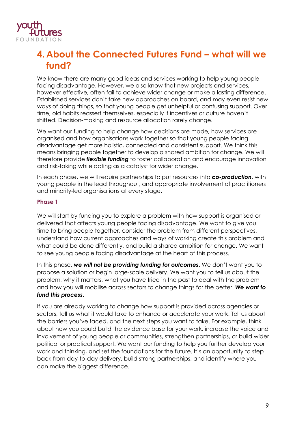

### **4. About the Connected Futures Fund – what will we fund?**

We know there are many good ideas and services working to help young people facing disadvantage. However, we also know that new projects and services, however effective, often fail to achieve wider change or make a lasting difference. Established services don't take new approaches on board, and may even resist new ways of doing things, so that young people get unhelpful or confusing support. Over time, old habits reassert themselves, especially if incentives or culture haven't shifted. Decision-making and resource allocation rarely change.

We want our funding to help change how decisions are made, how services are organised and how organisations work together so that young people facing disadvantage get more holistic, connected and consistent support. We think this means bringing people together to develop a shared ambition for change. We will therefore provide *flexible funding* to foster collaboration and encourage innovation and risk-taking while acting as a catalyst for wider change.

In each phase, we will require partnerships to put resources into *co-production*, with young people in the lead throughout, and appropriate involvement of practitioners and minority-led organisations at every stage.

#### **Phase 1**

We will start by funding you to explore a problem with how support is organised or delivered that affects young people facing disadvantage. We want to give you time to bring people together, consider the problem from different perspectives, understand how current approaches and ways of working create this problem and what could be done differently, and build a shared ambition for change. We want to see young people facing disadvantage at the heart of this process.

In this phase, *we will not be providing funding for outcomes*. We don't want you to propose a solution or begin large-scale delivery. We want you to tell us about the problem, why it matters, what you have tried in the past to deal with the problem and how you will mobilise across sectors to change things for the better. *We want to fund this process*.

If you are already working to change how support is provided across agencies or sectors, tell us what it would take to enhance or accelerate your work. Tell us about the barriers you've faced, and the next steps you want to take. For example, think about how you could build the evidence base for your work, increase the voice and involvement of young people or communities, strengthen partnerships, or build wider political or practical support. We want our funding to help you further develop your work and thinking, and set the foundations for the future. It's an opportunity to step back from day-to-day delivery, build strong partnerships, and identify where you can make the biggest difference.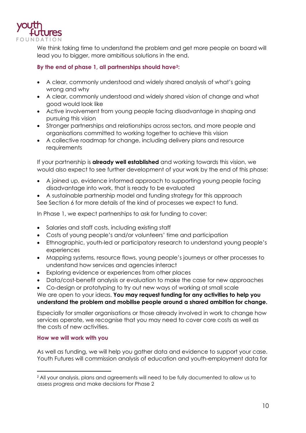

We think taking time to understand the problem and get more people on board will lead you to bigger, more ambitious solutions in the end.

#### **By the end of phase 1, all partnerships should hav[e2](#page-9-0):**

- A clear, commonly understood and widely shared analysis of what's going wrong and why
- A clear, commonly understood and widely shared vision of change and what good would look like
- Active involvement from young people facing disadvantage in shaping and pursuing this vision
- Stronger partnerships and relationships across sectors, and more people and organisations committed to working together to achieve this vision
- A collective roadmap for change, including delivery plans and resource requirements

If your partnership is **already well established** and working towards this vision, we would also expect to see further development of your work by the end of this phase:

- A joined up, evidence informed approach to supporting young people facing disadvantage into work, that is ready to be evaluated
- A sustainable partnership model and funding strategy for this approach See Section 6 for more details of the kind of processes we expect to fund.

In Phase 1, we expect partnerships to ask for funding to cover:

- Salaries and staff costs, including existing staff
- Costs of young people's and/or volunteers' time and participation
- Ethnographic, youth-led or participatory research to understand young people's experiences
- Mapping systems, resource flows, young people's journeys or other processes to understand how services and agencies interact
- Exploring evidence or experiences from other places
- Data/cost-benefit analysis or evaluation to make the case for new approaches
- Co-design or prototyping to try out new ways of working at small scale

#### We are open to your ideas. **You may request funding for any activities to help you understand the problem and mobilise people around a shared ambition for change.**

Especially for smaller organisations or those already involved in work to change how services operate, we recognise that you may need to cover core costs as well as the costs of new activities.

#### **How we will work with you**

As well as funding, we will help you gather data and evidence to support your case. Youth Futures will commission analysis of education and youth-employment data for

<span id="page-9-0"></span><sup>&</sup>lt;sup>2</sup> All your analysis, plans and agreements will need to be fully documented to allow us to assess progress and make decisions for Phase 2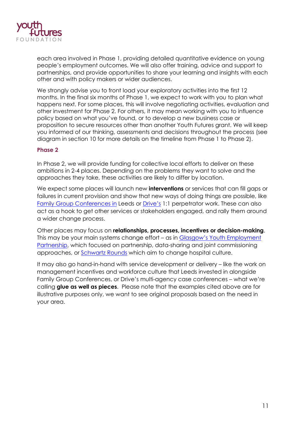

each area involved in Phase 1, providing detailed quantitative evidence on young people's employment outcomes. We will also offer training, advice and support to partnerships, and provide opportunities to share your learning and insights with each other and with policy makers or wider audiences.

We strongly advise you to front load your exploratory activities into the first 12 months. In the final six months of Phase 1, we expect to work with you to plan what happens next. For some places, this will involve negotiating activities, evaluation and other investment for Phase 2. For others, it may mean working with you to influence policy based on what you've found, or to develop a new business case or proposition to secure resources other than another Youth Futures grant. We will keep you informed of our thinking, assessments and decisions throughout the process (see diagram in section 10 for more details on the timeline from Phase 1 to Phase 2).

#### **Phase 2**

In Phase 2, we will provide funding for collective local efforts to deliver on these ambitions in 2-4 places. Depending on the problems they want to solve and the approaches they take, these activities are likely to differ by location.

We expect some places will launch new **interventions** or services that can fill gaps or failures in current provision and show that new ways of doing things are possible, like [Family Group Conferences in](https://youthfuturesfoundation.org/grant-case-studies/system-change-case-study-restorative-practice-leeds/) Leeds or [Drive's](https://youthfuturesfoundation.org/grant-case-studies/system-change-case-study-drive/) 1:1 perpetrator work. These can also act as a hook to get other services or stakeholders engaged, and rally them around a wider change process.

Other places may focus on **relationships, processes, incentives or decision-making**. This may be your main systems change effort – as in [Glasgow's Youth Employment](https://youthfuturesfoundation.org/grant-case-studies/system-change-case-study-glasgow-youth-employability-partnership/)  [Partnership,](https://youthfuturesfoundation.org/grant-case-studies/system-change-case-study-glasgow-youth-employability-partnership/) which focused on partnership, data-sharing and joint commissioning approaches, or [Schwartz Rounds](https://youthfuturesfoundation.org/grant-case-studies/system-change-case-study-schwartz-rounds/) which aim to change hospital culture.

It may also go hand-in-hand with service development or delivery – like the work on management incentives and workforce culture that Leeds invested in alongside Family Group Conferences, or Drive's multi-agency case conferences – what we're calling **glue as well as pieces**. Please note that the examples cited above are for illustrative purposes only, we want to see original proposals based on the need in your area.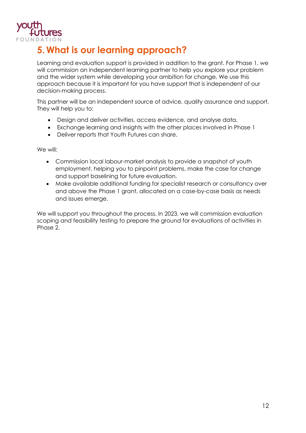

### **5. What is our learning approach?**

Learning and evaluation support is provided in addition to the grant. For Phase 1, we will commission an independent learning partner to help you explore your problem and the wider system while developing your ambition for change. We use this approach because it is important for you have support that is independent of our decision-making process.

This partner will be an independent source of advice, quality assurance and support. They will help you to:

- Design and deliver activities, access evidence, and analyse data.
- Exchange learning and insights with the other places involved in Phase 1
- Deliver reports that Youth Futures can share.

We will:

- Commission local labour-market analysis to provide a snapshot of youth employment, helping you to pinpoint problems, make the case for change and support baselining for future evaluation.
- Make available additional funding for specialist research or consultancy over and above the Phase 1 grant, allocated on a case-by-case basis as needs and issues emerge.

We will support you throughout the process. In 2023, we will commission evaluation scoping and feasibility testing to prepare the ground for evaluations of activities in Phase 2.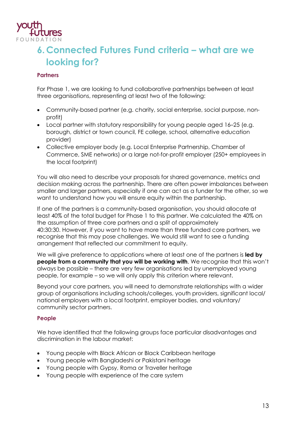

# **6.Connected Futures Fund criteria – what are we looking for?**

#### **Partners**

For Phase 1, we are looking to fund collaborative partnerships between at least three organisations, representing at least two of the following:

- Community-based partner (e.g. charity, social enterprise, social purpose, nonprofit)
- Local partner with statutory responsibility for young people aged 16–25 (e.g. borough, district or town council, FE college, school, alternative education provider)
- Collective employer body (e.g. Local Enterprise Partnership, Chamber of Commerce, SME networks) *or* a large not-for-profit employer (250+ employees in the local footprint)

You will also need to describe your proposals for shared governance, metrics and decision making across the partnership. There are often power imbalances between smaller and larger partners, especially if one can act as a funder for the other, so we want to understand how you will ensure equity within the partnership.

If one of the partners is a community-based organisation, you should allocate at least 40% of the total budget for Phase 1 to this partner. We calculated the 40% on the assumption of three core partners and a split of approximately 40:30:30. However, if you want to have more than three funded core partners, we recognise that this may pose challenges. We would still want to see a funding arrangement that reflected our commitment to equity.

We will give preference to applications where at least one of the partners is **led by people from a community that you will be working with**. We recognise that this won't always be possible – there are very few organisations led by unemployed young people, for example – so we will only apply this criterion where relevant.

Beyond your core partners, you will need to demonstrate relationships with a wider group of organisations including schools/colleges, youth providers, significant local/ national employers with a local footprint, employer bodies, and voluntary/ community sector partners.

#### **People**

We have identified that the following groups face particular disadvantages and discrimination in the labour market:

- Young people with Black African or Black Caribbean heritage
- Young people with Bangladeshi or Pakistani heritage
- Young people with Gypsy, Roma or Traveller heritage
- Young people with experience of the care system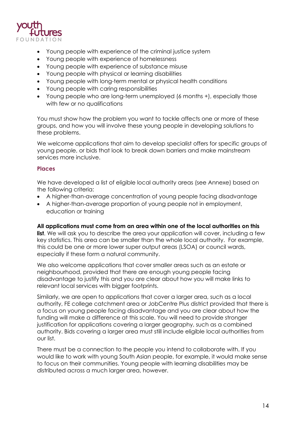

- Young people with experience of the criminal justice system
- Young people with experience of homelessness
- Young people with experience of substance misuse
- Young people with physical or learning disabilities
- Young people with long-term mental or physical health conditions
- Young people with caring responsibilities
- Young people who are long-term unemployed (6 months +), especially those with few or no qualifications

You must show how the problem you want to tackle affects one or more of these groups, and how you will involve these young people in developing solutions to these problems.

We welcome applications that aim to develop specialist offers for specific groups of young people, or bids that look to break down barriers and make mainstream services more inclusive.

#### **Places**

We have developed a list of eligible local authority areas (see Annexe) based on the following criteria:

- A higher-than-average concentration of young people facing disadvantage
- A higher-than-average proportion of young people not in employment, education or training

#### **All applications must come from an area within one of the local authorities on this**

**list**. We will ask you to describe the area your application will cover, including a few key statistics. This area can be smaller than the whole local authority. For example, this could be one or more lower super output areas (LSOA) or council wards, especially if these form a natural community.

We also welcome applications that cover smaller areas such as an estate or neighbourhood, provided that there are enough young people facing disadvantage to justify this and you are clear about how you will make links to relevant local services with bigger footprints.

Similarly, we are open to applications that cover a larger area, such as a local authority, FE college catchment area or JobCentre Plus district provided that there is a focus on young people facing disadvantage and you are clear about how the funding will make a difference at this scale. You will need to provide stronger justification for applications covering a larger geography, such as a combined authority. Bids covering a larger area must still include eligible local authorities from our list.

There must be a connection to the people you intend to collaborate with. If you would like to work with young South Asian people, for example, it would make sense to focus on their communities. Young people with learning disabilities may be distributed across a much larger area, however.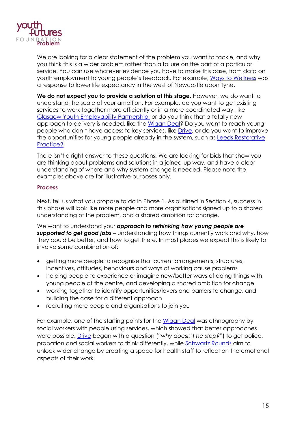

We are looking for a clear statement of the problem you want to tackle, and why you think this is a wider problem rather than a failure on the part of a particular service. You can use whatever evidence you have to make this case, from data on youth employment to young people's feedback. For example, [Ways to Wellness](https://youthfuturesfoundation.org/grant-case-studies/system-change-case-study-ways-to-wellness/) was a response to lower life expectancy in the west of Newcastle upon Tyne.

**We do not expect you to provide a solution at this stage**. However, we do want to understand the scale of your ambition. For example, do you want to get existing services to work together more efficiently or in a more coordinated way, like [Glasgow Youth Employability Partnership,](https://youthfuturesfoundation.org/grant-case-studies/system-change-case-study-glasgow-youth-employability-partnership/) or do you think that a totally new approach to delivery is needed, like the [Wigan Deal?](https://youthfuturesfoundation.org/grant-case-studies/system-change-case-study/) Do you want to reach young people who don't have access to key services, like [Drive,](https://youthfuturesfoundation.org/grant-case-studies/system-change-case-study-drive/) or do you want to improve the opportunities for young people already in the system, such as **Leeds Restorative** [Practice?](https://youthfuturesfoundation.org/grant-case-studies/system-change-case-study-restorative-practice-leeds/)

There isn't a right answer to these questions! We are looking for bids that show you are thinking about problems and solutions in a joined-up way, and have a clear understanding of where and why system change is needed. Please note the examples above are for illustrative purposes only.

#### **Process**

Next, tell us what you propose to do in Phase 1. As outlined in Section 4, success in this phase will look like more people and more organisations signed up to a shared understanding of the problem, and a shared ambition for change.

We want to understand your *approach to rethinking how young people are supported to get good jobs* – understanding how things currently work and why, how they could be better, and how to get there. In most places we expect this is likely to involve some combination of:

- getting more people to recognise that current arrangements, structures, incentives, attitudes, behaviours and ways of working cause problems
- helping people to experience or imagine new/better ways of doing things with young people at the centre, and developing a shared ambition for change
- working together to identify opportunities/levers and barriers to change, and building the case for a different approach
- recruiting more people and organisations to join you

For example, one of the starting points for the [Wigan Deal](https://youthfuturesfoundation.org/grant-case-studies/system-change-case-study/) was ethnography by social workers with people using services, which showed that better approaches were possible. [Drive](https://youthfuturesfoundation.org/grant-case-studies/system-change-case-study-drive/) began with a question ("*why doesn't he stop?*") to get police, probation and social workers to think differently, while [Schwartz Rounds](https://youthfuturesfoundation.org/grant-case-studies/system-change-case-study-schwartz-rounds/) aim to unlock wider change by creating a space for health staff to reflect on the emotional aspects of their work.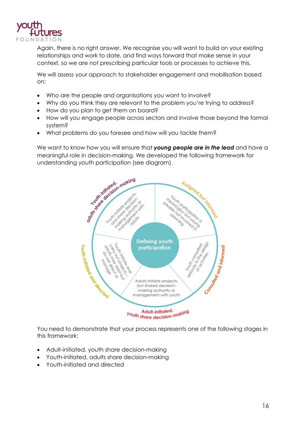

Again, there is no right answer. We recognise you will want to build on your existing relationships and work to date, and find ways forward that make sense in your context, so we are not prescribing particular tools or processes to achieve this.

We will assess your approach to stakeholder engagement and mobilisation based on:

- Who are the people and organisations you want to involve?
- Why do you think they are relevant to the problem you're trying to address?
- How do you plan to get them on board?
- How will you engage people across sectors and involve those beyond the formal system?
- What problems do you foresee and how will you tackle them?

We want to know how you will ensure that *young people are in the lead* and have a meaningful role in decision-making. We developed the following framework for



You need to demonstrate that your process represents one of the following stages in this framework:

- Adult-initiated, youth share decision-making
- Youth-initiated, adults share decision-making
- Youth-initiated and directed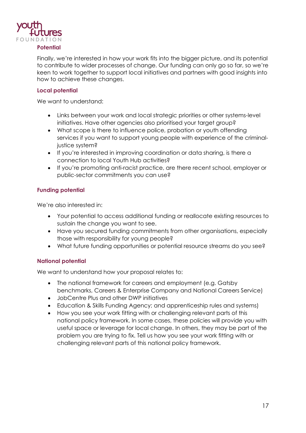

#### **Potential**

Finally, we're interested in how your work fits into the bigger picture, and its potential to contribute to wider processes of change. Our funding can only go so far, so we're keen to work together to support local initiatives and partners with good insights into how to achieve these changes.

#### **Local potential**

We want to understand:

- Links between your work and local strategic priorities or other systems-level initiatives. Have other agencies also prioritised your target group?
- What scope is there to influence police, probation or youth offending services if you want to support young people with experience of the criminaljustice system?
- If you're interested in improving coordination or data sharing, is there a connection to local Youth Hub activities?
- If you're promoting anti-racist practice, are there recent school, employer or public-sector commitments you can use?

#### **Funding potential**

We're also interested in:

- Your potential to access additional funding or reallocate existing resources to sustain the change you want to see.
- Have you secured funding commitments from other organisations, especially those with responsibility for young people?
- What future funding opportunities or potential resource streams do you see?

#### **National potential**

We want to understand how your proposal relates to:

- The national framework for careers and employment (e.g. Gatsby benchmarks, Careers & Enterprise Company and National Careers Service)
- JobCentre Plus and other DWP initiatives
- Education & Skills Funding Agency; and apprenticeship rules and systems)
- How you see your work fitting with or challenging relevant parts of this national policy framework. In some cases, these policies will provide you with useful space or leverage for local change. In others, they may be part of the problem you are trying to fix. Tell us how you see your work fitting with or challenging relevant parts of this national policy framework.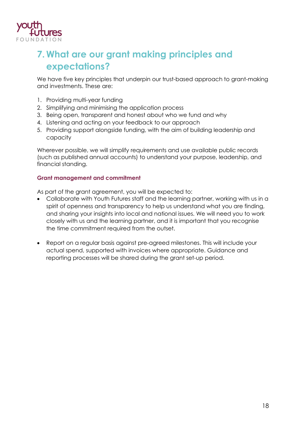

# **7. What are our grant making principles and expectations?**

We have five key principles that underpin our trust-based approach to grant-making and investments. These are:

- 1. Providing multi-year funding
- 2. Simplifying and minimising the application process
- 3. Being open, transparent and honest about who we fund and why
- 4. Listening and acting on your feedback to our approach
- 5. Providing support alongside funding, with the aim of building leadership and capacity

Wherever possible, we will simplify requirements and use available public records (such as published annual accounts) to understand your purpose, leadership, and financial standing.

#### **Grant management and commitment**

As part of the grant agreement, you will be expected to:

- Collaborate with Youth Futures staff and the learning partner, working with us in a spirit of openness and transparency to help us understand what you are finding, and sharing your insights into local and national issues. We will need you to work closely with us and the learning partner, and it is important that you recognise the time commitment required from the outset.
- Report on a regular basis against pre-agreed milestones. This will include your actual spend, supported with invoices where appropriate. Guidance and reporting processes will be shared during the grant set-up period.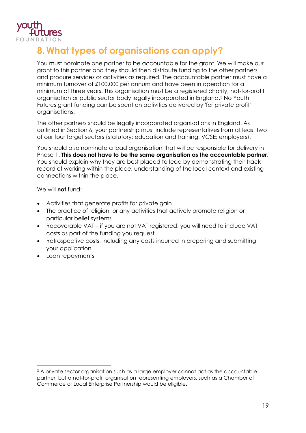

# **8. What types of organisations can apply?**

You must nominate one partner to be accountable for the grant. We will make our grant to this partner and they should then distribute funding to the other partners and procure services or activities as required. The accountable partner must have a minimum turnover of £100,000 per annum and have been in operation for a minimum of three years. This organisation must be a registered charity, not-for-profit organisation or public sector body legally incorporated in England[.3](#page-18-0) No Youth Futures grant funding can be spent on activities delivered by 'for private profit' organisations.

The other partners should be legally incorporated organisations in England. As outlined in Section 6, your partnership must include representatives from at least two of our four target sectors (statutory; education and training; VCSE; employers).

You should also nominate a lead organisation that will be responsible for delivery in Phase 1. **This does not have to be the same organisation as the accountable partner**. You should explain why they are best placed to lead by demonstrating their track record of working within the place, understanding of the local context and existing connections within the place.

We will **not** fund:

- Activities that generate profits for private gain
- The practice of religion, or any activities that actively promote religion or particular belief systems
- Recoverable VAT if you are not VAT registered, you will need to include VAT costs as part of the funding you request
- Retrospective costs, including any costs incurred in preparing and submitting your application
- Loan repayments

<span id="page-18-0"></span><sup>&</sup>lt;sup>3</sup> A private sector organisation such as a large employer cannot act as the accountable partner, but a not-for-profit organisation representing employers, such as a Chamber of Commerce or Local Enterprise Partnership would be eligible.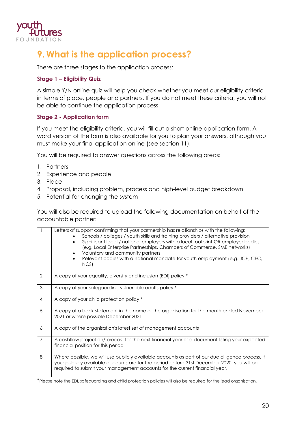

## **9. What is the application process?**

There are three stages to the application process:

#### **Stage 1 – Eligibility Quiz**

A simple Y/N online quiz will help you check whether you meet our eligibility criteria in terms of place, people and partners. If you do not meet these criteria, you will not be able to continue the application process.

#### **Stage 2 - Application form**

If you meet the eligibility criteria, you will fill out a short online application form. A word version of the form is also available for you to plan your answers, although you must make your final application online (see section 11).

You will be required to answer questions across the following areas:

- 1. Partners
- 2. Experience and people
- 3. Place
- 4. Proposal, including problem, process and high-level budget breakdown
- 5. Potential for changing the system

You will also be required to upload the following documentation on behalf of the accountable partner:

|                | Letters of support confirming that your partnership has relationships with the following:<br>Schools / colleges / youth skills and training providers / alternative provision<br>Significant local / national employers with a local footprint OR employer bodies<br>(e.g. Local Enterprise Partnerships, Chambers of Commerce, SME networks)<br>Voluntary and community partners<br>Relevant bodies with a national mandate for youth employment (e.g. JCP, CEC,<br>NCS) |  |
|----------------|---------------------------------------------------------------------------------------------------------------------------------------------------------------------------------------------------------------------------------------------------------------------------------------------------------------------------------------------------------------------------------------------------------------------------------------------------------------------------|--|
| $\overline{2}$ | A copy of your equality, diversity and inclusion (EDI) policy *                                                                                                                                                                                                                                                                                                                                                                                                           |  |
| 3              | A copy of your safeguarding vulnerable adults policy *                                                                                                                                                                                                                                                                                                                                                                                                                    |  |
| $\overline{4}$ | A copy of your child protection policy *                                                                                                                                                                                                                                                                                                                                                                                                                                  |  |
| 5              | A copy of a bank statement in the name of the organisation for the month ended November<br>2021 or where possible December 2021                                                                                                                                                                                                                                                                                                                                           |  |
| 6              | A copy of the organisation's latest set of management accounts                                                                                                                                                                                                                                                                                                                                                                                                            |  |
| $\overline{7}$ | A cashflow projection/forecast for the next financial year or a document listing your expected<br>financial position for this period                                                                                                                                                                                                                                                                                                                                      |  |
| 8              | Where possible, we will use publicly available accounts as part of our due diligence process. If<br>your publicly available accounts are for the period before 31st December 2020, you will be<br>required to submit your management accounts for the current financial year.                                                                                                                                                                                             |  |

\*Please note the EDI, safeguarding and child protection policies will also be required for the lead organisation.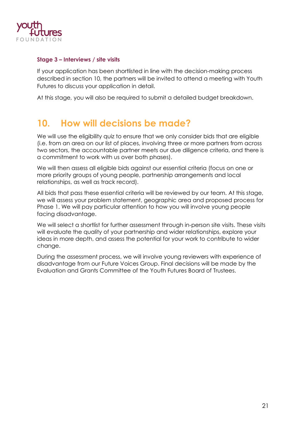

#### **Stage 3 – Interviews / site visits**

If your application has been shortlisted in line with the decision-making process described in section 10, the partners will be invited to attend a meeting with Youth Futures to discuss your application in detail.

At this stage, you will also be required to submit a detailed budget breakdown.

### **10. How will decisions be made?**

We will use the eligibility quiz to ensure that we only consider bids that are eligible (i.e. from an area on our list of places, involving three or more partners from across two sectors, the accountable partner meets our due diligence criteria, and there is a commitment to work with us over both phases).

We will then assess all eligible bids against our essential criteria (focus on one or more priority groups of young people, partnership arrangements and local relationships, as well as track record).

All bids that pass these essential criteria will be reviewed by our team. At this stage, we will assess your problem statement, geographic area and proposed process for Phase 1. We will pay particular attention to how you will involve young people facing disadvantage.

We will select a shortlist for further assessment through in-person site visits. These visits will evaluate the quality of your partnership and wider relationships, explore your ideas in more depth, and assess the potential for your work to contribute to wider change.

During the assessment process, we will involve young reviewers with experience of disadvantage from our Future Voices Group. Final decisions will be made by the Evaluation and Grants Committee of the Youth Futures Board of Trustees.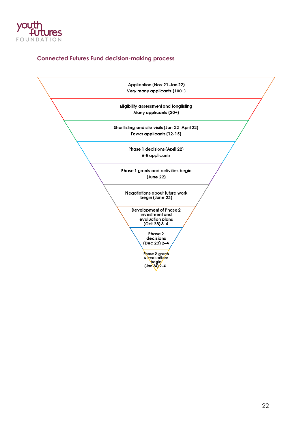

#### **Connected Futures Fund decision-making process**

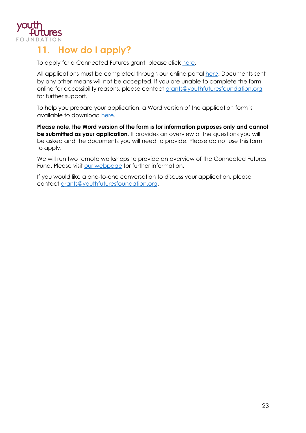

### **11. How do I apply?**

To apply for a Connected Futures grant, please click [here.](https://www.grantrequest.co.uk/SID_142?SA=SNA&FID=35258)

All applications must be completed through our online portal [here.](https://www.grantrequest.co.uk/SID_142?SA=SNA&FID=35258) Documents sent by any other means will not be accepted. If you are unable to complete the form online for accessibility reasons, please contact [grants@youthfuturesfoundation.org](mailto:grants@youthfuturesfoundation.org) for further support.

To help you prepare your application, a Word version of the application form is available to download [here.](https://youthfuturesfoundation.org/our-work/invest/connected-futures/)

**Please note, the Word version of the form is for information purposes only and cannot be submitted as your application**. It provides an overview of the questions you will be asked and the documents you will need to provide. Please do not use this form to apply.

We will run two remote workshops to provide an overview of the Connected Futures Fund. Please visit [our webpage](https://youthfuturesfoundation.org/our-work/invest/connected-futures/) for further information.

If you would like a one-to-one conversation to discuss your application, please contact [grants@youthfuturesfoundation.org.](mailto:grants@youthfuturesfoundation.org)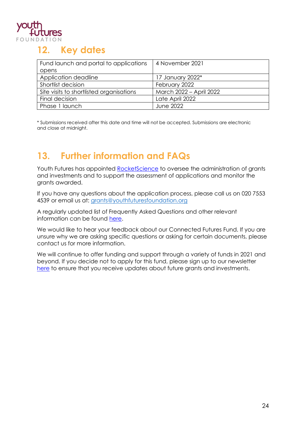

### **12. Key dates**

| Fund launch and portal to applications   | 4 November 2021         |
|------------------------------------------|-------------------------|
| opens                                    |                         |
| Application deadline                     | 17 January 2022*        |
| Shortlist decision                       | February 2022           |
| Site visits to shortlisted organisations | March 2022 - April 2022 |
| Final decision                           | Late April 2022         |
| Phase 1 launch                           | <b>June 2022</b>        |

\* Submissions received after this date and time will not be accepted. Submissions are electronic and close at midnight.

# **13. Further information and FAQs**

Youth Futures has appointed [RocketScience](http://www.rocketsciencelab.co.uk/) to oversee the administration of grants and investments and to support the assessment of applications and monitor the grants awarded.

If you have any questions about the application process, please call us on 020 7553 4539 or email us at: [grants@youthfuturesfoundation.org](mailto:grants@youthfuturesfoundation.org)

A regularly updated list of Frequently Asked Questions and other relevant information can be found [here.](https://youthfuturesfoundation.org/our-work/invest/connected-futures/)

We would like to hear your feedback about our Connected Futures Fund. If you are unsure why we are asking specific questions or asking for certain documents, please contact us for more information.

We will continue to offer funding and support through a variety of funds in 2021 and beyond. If you decide not to apply for this fund, please sign up to our newsletter [here](https://youthfuturesfoundation.org/) to ensure that you receive updates about future grants and investments.